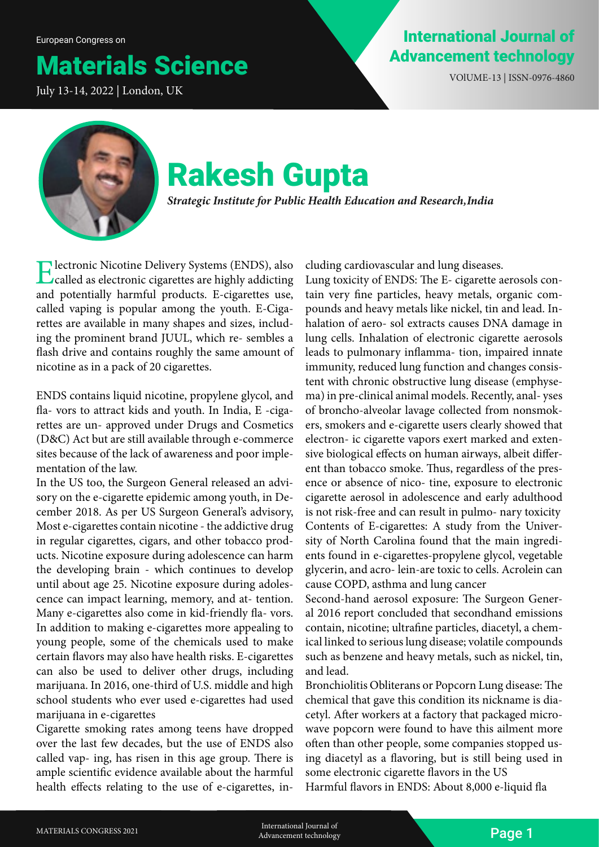## Materials Science

July 13-14, 2022 | London, UK

### International Journal of Advancement technology

VOlUME-13 | ISSN-0976-4860



# Rakesh Gupta

*Strategic Institute for Public Health Education and Research, India*

Electronic Nicotine Delivery Systems (ENDS), also called as electronic cigarettes are highly addicting and potentially harmful products. E-cigarettes use, called vaping is popular among the youth. E-Cigarettes are available in many shapes and sizes, including the prominent brand JUUL, which re- sembles a flash drive and contains roughly the same amount of nicotine as in a pack of 20 cigarettes.

ENDS contains liquid nicotine, propylene glycol, and fla- vors to attract kids and youth. In India, E -cigarettes are un- approved under Drugs and Cosmetics (D&C) Act but are still available through e-commerce sites because of the lack of awareness and poor implementation of the law.

In the US too, the Surgeon General released an advisory on the e-cigarette epidemic among youth, in December 2018. As per US Surgeon General's advisory, Most e-cigarettes contain nicotine - the addictive drug in regular cigarettes, cigars, and other tobacco products. Nicotine exposure during adolescence can harm the developing brain - which continues to develop until about age 25. Nicotine exposure during adolescence can impact learning, memory, and at- tention. Many e-cigarettes also come in kid-friendly fla- vors. In addition to making e-cigarettes more appealing to young people, some of the chemicals used to make certain flavors may also have health risks. E-cigarettes can also be used to deliver other drugs, including marijuana. In 2016, one-third of U.S. middle and high school students who ever used e-cigarettes had used marijuana in e-cigarettes

Cigarette smoking rates among teens have dropped over the last few decades, but the use of ENDS also called vap- ing, has risen in this age group. There is ample scientific evidence available about the harmful health effects relating to the use of e-cigarettes, including cardiovascular and lung diseases.

Lung toxicity of ENDS: The E- cigarette aerosols contain very fine particles, heavy metals, organic compounds and heavy metals like nickel, tin and lead. Inhalation of aero- sol extracts causes DNA damage in lung cells. Inhalation of electronic cigarette aerosols leads to pulmonary inflamma- tion, impaired innate immunity, reduced lung function and changes consistent with chronic obstructive lung disease (emphysema) in pre-clinical animal models. Recently, anal- yses of broncho-alveolar lavage collected from nonsmokers, smokers and e-cigarette users clearly showed that electron- ic cigarette vapors exert marked and extensive biological effects on human airways, albeit different than tobacco smoke. Thus, regardless of the presence or absence of nico- tine, exposure to electronic cigarette aerosol in adolescence and early adulthood is not risk-free and can result in pulmo- nary toxicity Contents of E-cigarettes: A study from the University of North Carolina found that the main ingredients found in e-cigarettes-propylene glycol, vegetable glycerin, and acro- lein-are toxic to cells. Acrolein can cause COPD, asthma and lung cancer

Second-hand aerosol exposure: The Surgeon General 2016 report concluded that secondhand emissions contain, nicotine; ultrafine particles, diacetyl, a chemical linked to serious lung disease; volatile compounds such as benzene and heavy metals, such as nickel, tin, and lead.

Bronchiolitis Obliterans or Popcorn Lung disease: The chemical that gave this condition its nickname is diacetyl. After workers at a factory that packaged microwave popcorn were found to have this ailment more often than other people, some companies stopped using diacetyl as a flavoring, but is still being used in some electronic cigarette flavors in the US Harmful flavors in ENDS: About 8,000 e-liquid fla

MATERIALS CONGRESS 2021 **International Journal of** *MATERIALS CONGRESS 2021* **International Journal of International Sournal of Page 1** Advancement technology